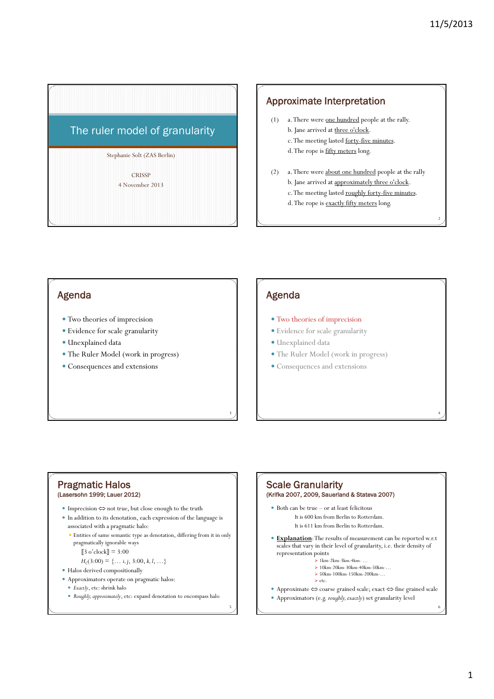2

4

# Stephanie Solt (ZAS Berlin) The ruler model of granularity

**CRISSP** 4 November 2013

# Approximate Interpretation

- (1) a. There were one hundred people at the rally.
	- b. Jane arrived at three o'clock.
	- c. The meeting lasted forty-five minutes.
		- d. The rope is fifty meters long.
- (2) a. There were about one hundred people at the rally b. Jane arrived at approximately three o'clock. c. The meeting lasted roughly forty-five minutes. d. The rope is exactly fifty meters long.

# Agenda

- Two theories of imprecision
- Evidence for scale granularity
- Unexplained data
- The Ruler Model (work in progress)
- Consequences and extensions

# Agenda

3

5

- Two theories of imprecision
- Evidence for scale granularity
- $\bullet$  Unexplained data
- The Ruler Model (work in progress)
- Consequences and extensions

#### Pragmatic Halos (Lasersohn 1999; Lauer 2012)

- y Imprecision ⇔ not true, but close enough to the truth
- In addition to its denotation, each expression of the language is associated with a pragmatic halo:
	- y Entities of same semantic type as denotation, differing from it in only pragmatically ignorable ways
		- $3 \text{ o'clock} = 3:00$

 $H_c(3:00) = \{ \ldots i, j, 3:00, k, l, \ldots \}$ 

- Halos derived compositionally
- Approximators operate on pragmatic halos:
	- y *Exactly*, etc: shrink halo
	- *Roughly, approximately*, etc: expand denotation to encompass halo

# Scale Granularity (Krifka 2007, 2009, Sauerland & Stateva 2007)  $\bullet$  Both can be true – or at least felicitous

- It is 600 km from Berlin to Rotterdam. It is 611 km from Berlin to Rotterdam.
- **Explanation**: The results of measurement can be reported w.r.t scales that vary in their level of granularity, i.e. their density of<br>representation points
	- ¾ 1km-2km-3km-4km- …
	- $\geq 10$ km-20km-30km-40km-50km-...
	- ¾ 50km-100km-150km-200km-…  $\ge$  etc.
- y Approximate ⇔ coarse grained scale; exact ⇔ fine grained scale
- y Approximators (e.g. *roughly, exactly*) set granularity level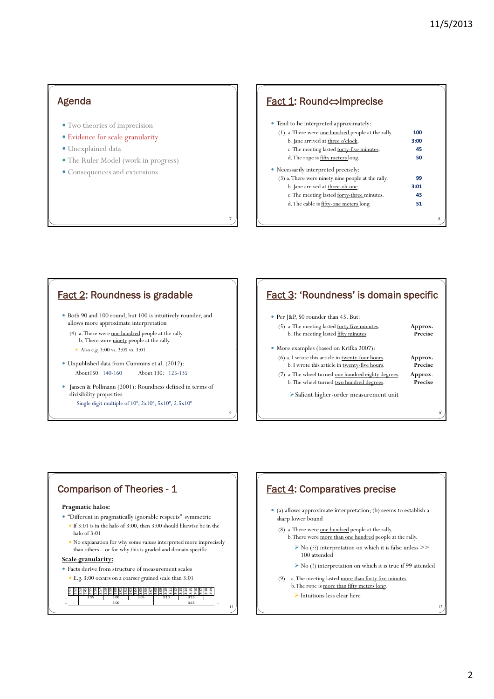## Agenda

- Two theories of imprecision
- Evidence for scale granularity
- · Unexplained data
- The Ruler Model (work in progress)
- Consequences and extensions

#### Fact 1: Round⇔imprecise • Tend to be interpreted approximately: (1) a. There were one hundred people at the rally. **100** b. Jane arrived at three o'clock. **3:00** c. The meeting lasted forty-five minutes. **45** 8 d. The rope is fifty meters long. **50** • Necessarily interpreted precisely: (3) a. There were ninety nine people at the rally. **99** b. Jane arrived at three-oh-one. **3:01** c. The meeting lasted forty-three minutes. **43** d. The cable is fifty-one meters long. **51**

#### Fact 2: Roundness is gradable

- y Both 90 and 100 round, but 100 is intuitively rounder, and allows more approximate interpretation
	- (4) a. There were one hundred people at the rally. b. There were ninety people at the rally.
		- Also e.g. 3:00 vs. 3:05 vs. 3:01
- y Unpublished data from Cummins et al. (2012): About150: 140-160 About 130: 125-135
- y Jansen & Pollmann (2001): Roundness defined in terms of divisibility properties Single digit multiple of 10*<sup>n</sup>* , 2x10*<sup>n</sup>* , 5x10*<sup>n</sup>* , 2.5x10*<sup>n</sup>*

# Fact 3: 'Roundness' is domain specific

- Per J&P, 50 rounder than 45. But:
- (5) a. The meeting lasted <u>forty five minutes</u>. **Approx.**<br>b. The meeting lasted fifty minutes. **Precise** b. The meeting lasted <u>fifty minutes</u>.
- $\bullet\,$  More examples (based on Krifka 2007):
- (6) a. I wrote this article in twenty-four hours. **Approx.** b. I wrote this article in twenty-five hours. **Precise**
- (7) a. The wheel turned one hundred eighty degrees. **Approx**. b. The wheel turned two hundred degrees. **Precise**

10

¾Salient higher-order measurement unit

11

…

9

7

# Comparison of Theories - 1

#### **Pragmatic halos:**

- y "Different in pragmatically ignorable respects" symmetric
- $\bullet$  If 3:01 is in the halo of 3:00, then 3:00 should likewise be in the halo of 3:01
- $\bullet$  No explanation for why some values interpreted more imprecisely than others – or for why this is graded and domain specific

#### **Scale granularity:**

- Facts derive from structure of measurement scales
- y E.g. 3:00 occurs on a coarser grained scale than 3:01

#### … 2:51 2:52 2:53 3:45 2:55 2:56 2:57 2:58 2:59 3:00 3:01 3:02 3:03 3:04 3:05 3:06 3:07 3:08 3:09 3:10 3:11 3:12 3:13 3:14 3:15 3:16 3:17 3:18 3:19 … | 2:55 | 3:00 | 3:05 | 3:10 | 3:15 | … … 3:00 3:15 … 3:00 3:05 3:00 3:15 2:55 3:00 3:05 3:10 3:15

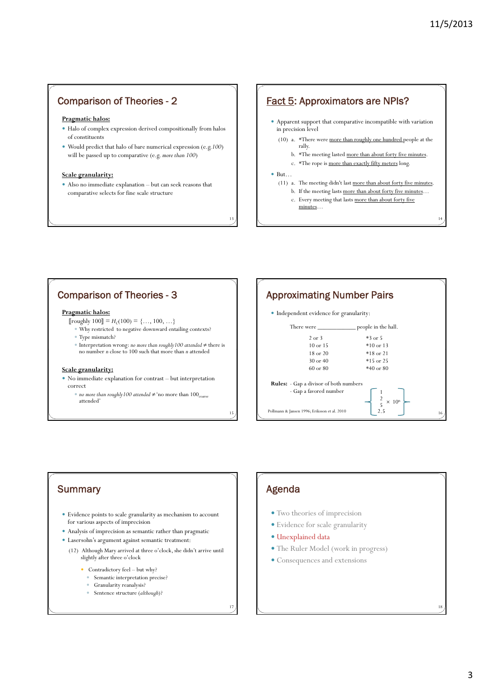14

### Comparison of Theories - 2

#### **Pragmatic halos:**

- y Halo of complex expression derived compositionally from halos of constituents
- y Would predict that halo of bare numerical expression (e.g.*100*) will be passed up to comparative (e.g. more than 100)

#### **Scale granularity:**

y Also no immediate explanation – but can seek reasons that comparative selects for fine scale structure

#### Fact 5: Approximators are NPIs?

- $\bullet\,$  Apparent support that comparative incompatible with variation in precision level
	- (10) a. \*There were more than roughly one hundred people at the rally.
		- b. \* The meeting lasted more than about forty five minutes.
		- c. \*The rope is more than exactly fifty meters long.

#### $\bullet$  But…

13

15

- (11) a. The meeting didn't last more than about forty five minutes.
	- b. If the meeting lasts more than about forty five minutes…
	- c. Every meeting that lasts more than about forty five minutes…

# Comparison of Theories - 3

#### **Pragmatic halos:**

- [roughly  $100$ ] =  $H_c(100) = \{..., 100, ...\}$
- $\bullet$  Why restricted to negative downward entailing contexts?
- Type mismatch?
- y Interpretation wrong: *no more than roughly100 attended* ≠ there is no number *n* close to 100 such that more than *n* attended

#### **Scale granularity:**

- $\bullet$  No immediate explanation for contrast but interpretation correct
	- <sup>y</sup> *no more than roughly100 attended* ≠'no more than 100coarse attended'



# **Summary**

- y Evidence points to scale granularity as mechanism to account for various aspects of imprecision
- Analysis of imprecision as semantic rather than pragmatic
- Lasersohn's argument against semantic treatment:
	- (12) Although Mary arrived at three o'clock, she didn't arrive until slightly after three o'clock
		- Contradictory feel but why?
		- Semantic interpretation precise?
		- y Granularity reanalysis?
		- y Sentence structure (*although*)?

17

# Agenda

- Two theories of imprecision
- Evidence for scale granularity
- · Unexplained data
- The Ruler Model (work in progress)
- Consequences and extensions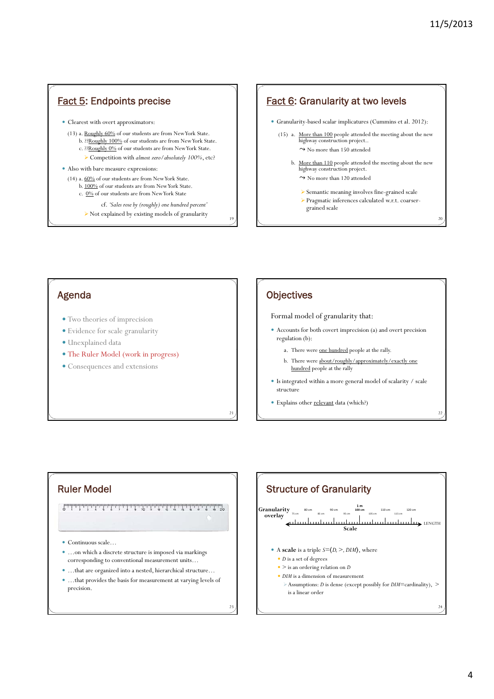$\overline{\chi}$ 

 $2<sup>2</sup>$ 

# Fact 5: Endpoints precise

• Clearest with overt approximators:

- (13) a. Roughly 60% of our students are from New York State. b. ??Roughly 100% of our students are from New York State.
	- c. ??Roughly 0% of our students are from New York State.
	- ¾ h Competition with *almost zero/absolutely 100%*, etc?

#### • Also with bare measure expressions:

- (14) a. 60% of our students are from New York State.
	- b. 100% of our students are from New York State.
	- c. 0% of our students are from New York State
		- cf. *'Sales rose by (roughly) one hundred percent'*
		- ¾ Not explained by existing models of granularity

#### **Fact 6: Granularity at two levels**

- y Granularity-based scalar implicatures (Cummins et al. 2012):
	- (15) a. More than 100 people attended the meeting about the new highway construction project..  $\rightarrow$  No more than 150 attended
		- b. More than 110 people attended the meeting about the new highway construction project.
			- $\rightarrow$  No more than 120 attended
			- ¾ Semantic meaning involves fine-grained scale ¾ Pragmatic inferences calculated w.r.t. coarser
				- grained scale

#### Agenda

- Two theories of imprecision
- $\bullet$  Evidence for scale granularity
- · Unexplained data
- The Ruler Model (work in progress)
- Consequences and extensions

#### **Objectives**

19

21

 $23$ 

#### Formal model of granularity that:

- y Accounts for both covert imprecision (a) and overt precision regulation (b):
	- a. There were one hundred people at the rally.
	- b. There were about/roughly/approximately/exactly one hundred people at the rally
- y Is integrated within a more general model of scalarity / scale structure
- Explains other relevant data (which?)

# Ruler Model

- Continuous scale...
- ...on which a discrete structure is imposed via markings corresponding to conventional measurement units…
- ... that are organized into a nested, hierarchical structure... • ... that provides the basis for measurement at varying levels of precision.

**Granularity**  $\pi$  80 cm **100 cm 110 cm** 110 cm **120** cm **120** cm ل تەھەر جىلىسىلىسىلىسىلىسىلىسىلىسىلىم ئەھەر جىيانىسىلىم ئ **Scale overlay** Structure of Granularity 24 • A scale is a triple  $S = \langle D, \gt, DIM \rangle$ , where • *D* is a set of degrees  $\bullet$  > is an ordering relation on *D* • *DIM* is a dimension of measurement ¾Assumptions: *D* is dense (except possibly for *DIM*=cardinality), > is a linear order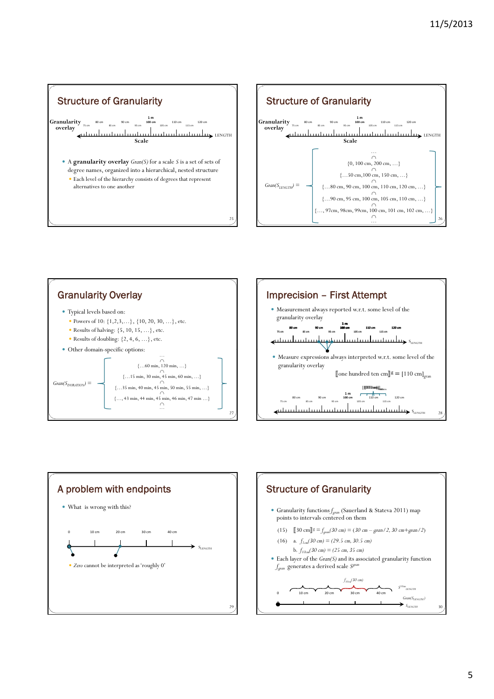







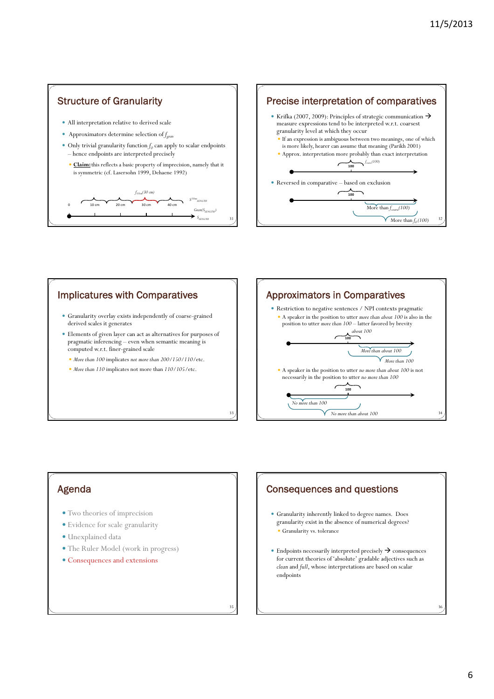



# Implicatures with Comparatives

- y Granularity overlay exists independently of coarse-grained derived scales it generates
- y Elements of given layer can act as alternatives for purposes of pragmatic inferencing – even when semantic meaning is computed w.r.t. finer-grained scale
	- *More than 100* implicates *not more than 200/150/110/etc.*
	- *More than 110* implicates not more than  $110/105/\text{etc.}$



## Agenda

- Two theories of imprecision
- Evidence for scale granularity
- · Unexplained data
- The Ruler Model (work in progress)
- Consequences and extensions

# Consequences and questions

- y Granularity inherently linked to degree names. Does granularity exist in the absence of numerical degrees? Granularity vs. tolerance
- $\bullet$  Endpoints necessarily interpreted precisely  $\rightarrow$  consequences for current theories of 'absolute' gradable adjectives such as *clean* and *full*, whose interpretations are based on scalar endpoints

35

33

6

36